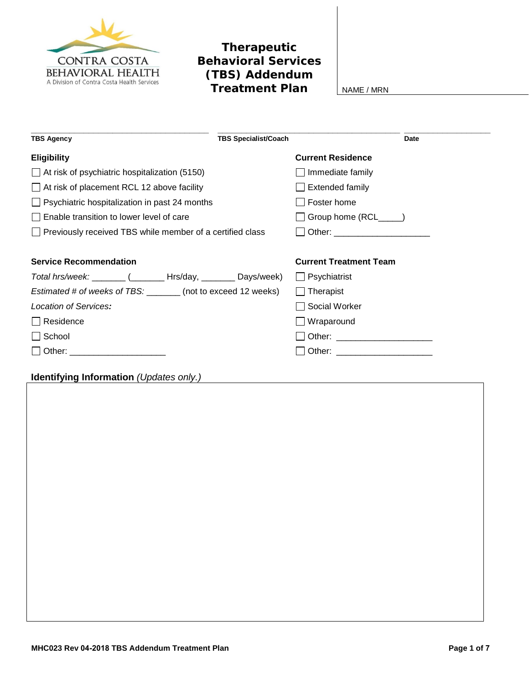

## **Therapeutic Behavioral Services (TBS) Addendum Treatment Plan** NAME/MRN

| <b>TBS Agency</b>                                                                                                                                                                                                              | <b>TBS Specialist/Coach</b>   | Date |
|--------------------------------------------------------------------------------------------------------------------------------------------------------------------------------------------------------------------------------|-------------------------------|------|
| <b>Eligibility</b>                                                                                                                                                                                                             | <b>Current Residence</b>      |      |
| $\Box$ At risk of psychiatric hospitalization (5150)                                                                                                                                                                           | Immediate family              |      |
| $\Box$ At risk of placement RCL 12 above facility                                                                                                                                                                              | <b>Extended family</b>        |      |
| $\Box$ Psychiatric hospitalization in past 24 months                                                                                                                                                                           | Foster home                   |      |
| Enable transition to lower level of care                                                                                                                                                                                       | Group home (RCL_____)         |      |
| $\Box$ Previously received TBS while member of a certified class                                                                                                                                                               |                               |      |
|                                                                                                                                                                                                                                |                               |      |
| <b>Service Recommendation</b>                                                                                                                                                                                                  | <b>Current Treatment Team</b> |      |
| Total hrs/week: ________ (________ Hrs/day, ________ Days/week)                                                                                                                                                                | $\Box$ Psychiatrist           |      |
| Estimated # of weeks of TBS: _______ (not to exceed 12 weeks)                                                                                                                                                                  | $\Box$ Therapist              |      |
| Location of Services:                                                                                                                                                                                                          | Social Worker                 |      |
| □ Residence                                                                                                                                                                                                                    | $\Box$ Wraparound             |      |
| $\Box$ School                                                                                                                                                                                                                  |                               |      |
| Other: and the contract of the contract of the contract of the contract of the contract of the contract of the contract of the contract of the contract of the contract of the contract of the contract of the contract of the |                               |      |

## **Identifying Information** *(Updates only.)*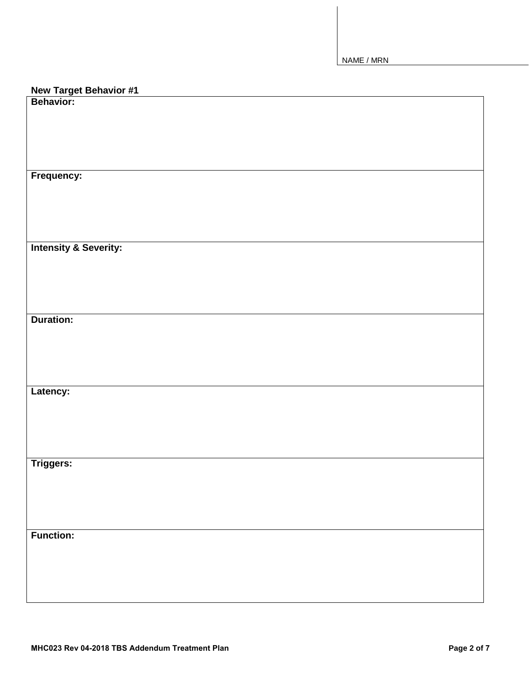| <b>New Target Behavior #1</b><br>Behavior: |
|--------------------------------------------|
|                                            |
|                                            |
|                                            |
|                                            |
|                                            |
|                                            |
| Frequency:                                 |
|                                            |
|                                            |
|                                            |
|                                            |
|                                            |
| <b>Intensity &amp; Severity:</b>           |
|                                            |
|                                            |
|                                            |
|                                            |
| <b>Duration:</b>                           |
|                                            |
|                                            |
|                                            |
|                                            |
|                                            |
| Latency:                                   |
|                                            |
|                                            |
|                                            |
|                                            |
|                                            |
| Triggers:                                  |
|                                            |
|                                            |
|                                            |
|                                            |
|                                            |
| <b>Function:</b>                           |
|                                            |
|                                            |
|                                            |
|                                            |
|                                            |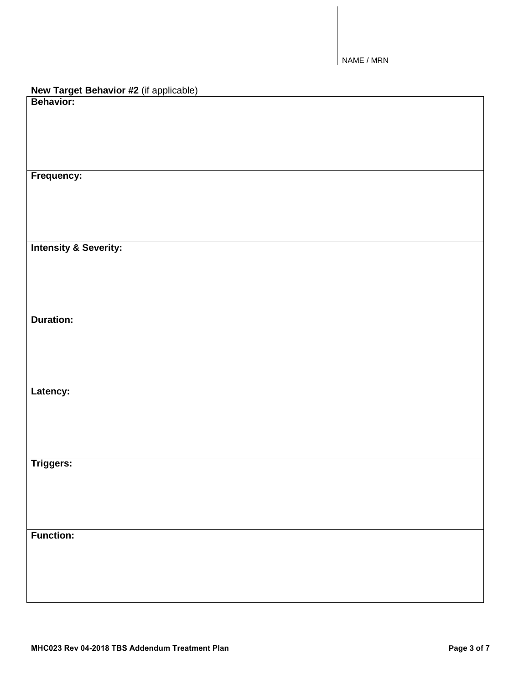| <b>New Target Behavior #2</b> (if applicable)<br>Behavior: |
|------------------------------------------------------------|
|                                                            |
|                                                            |
|                                                            |
|                                                            |
|                                                            |
| Frequency:                                                 |
|                                                            |
|                                                            |
|                                                            |
|                                                            |
| <b>Intensity &amp; Severity:</b>                           |
|                                                            |
|                                                            |
|                                                            |
|                                                            |
|                                                            |
| <b>Duration:</b>                                           |
|                                                            |
|                                                            |
|                                                            |
|                                                            |
|                                                            |
| Latency:                                                   |
|                                                            |
|                                                            |
|                                                            |
|                                                            |
| <b>Triggers:</b>                                           |
|                                                            |
|                                                            |
|                                                            |
|                                                            |
|                                                            |
| <b>Function:</b>                                           |
|                                                            |
|                                                            |
|                                                            |
|                                                            |
|                                                            |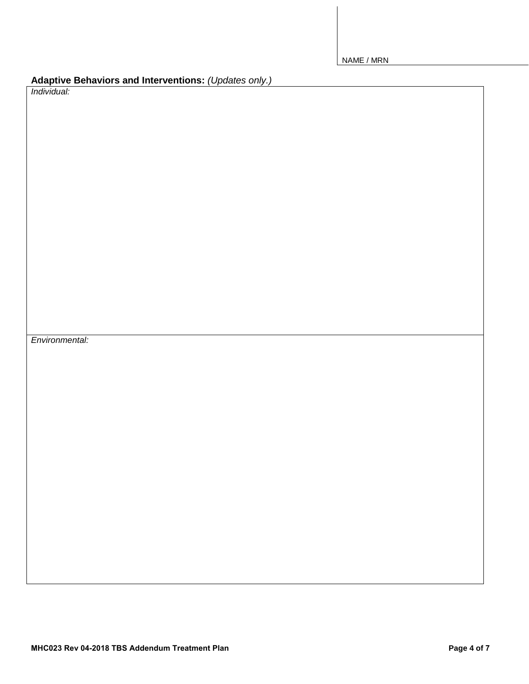| Adaptive Behaviors and Interventions: (Updates only.) |  |
|-------------------------------------------------------|--|
|-------------------------------------------------------|--|

*Individual:*

*Environmental:*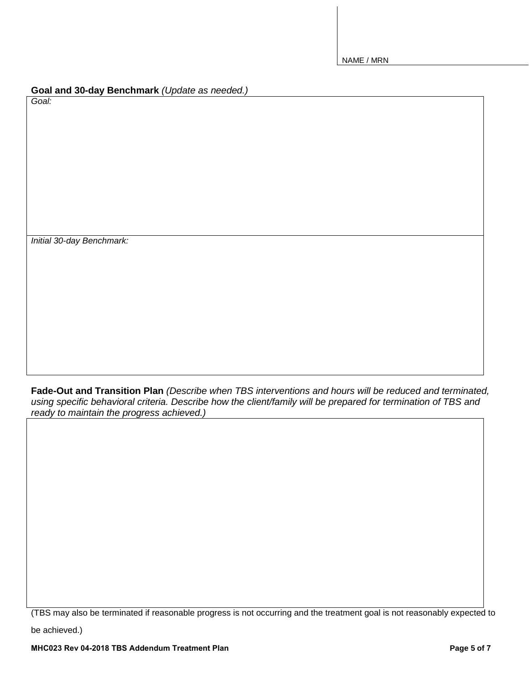|  |  | Goal and 30-day Benchmark (Update as needed.) |
|--|--|-----------------------------------------------|
|--|--|-----------------------------------------------|

*Goal:*

*Initial 30-day Benchmark:*

**Fade-Out and Transition Plan** *(Describe when TBS interventions and hours will be reduced and terminated, using specific behavioral criteria. Describe how the client/family will be prepared for termination of TBS and ready to maintain the progress achieved.)*

(TBS may also be terminated if reasonable progress is not occurring and the treatment goal is not reasonably expected to

be achieved.)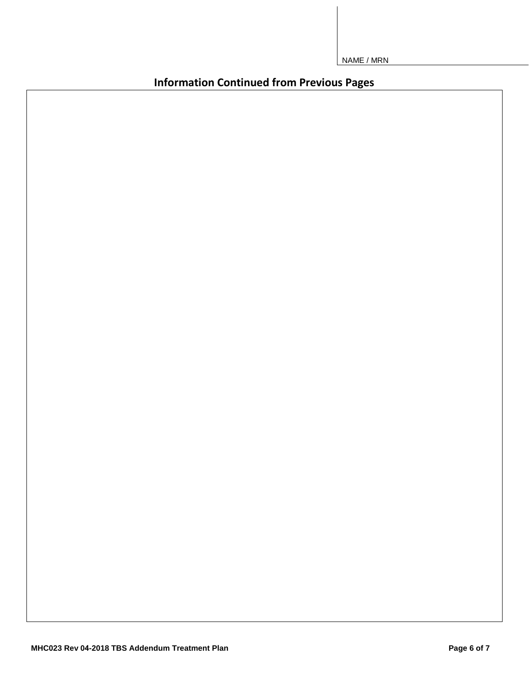**Information Continued from Previous Pages**